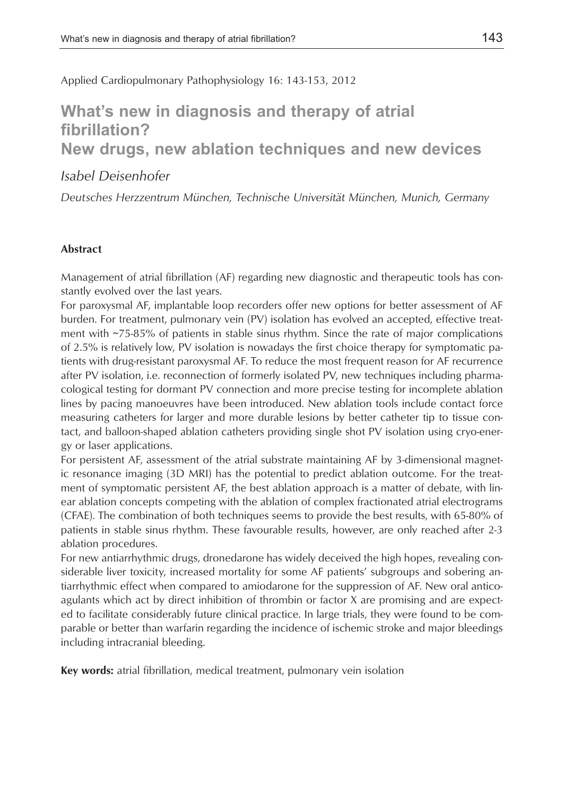Applied Cardiopulmonary Pathophysiology 16: 143-153, 2012

# **What's new in diagnosis and therapy of atrial fibrillation? New drugs, new ablation techniques and new devices**

## *Isabel Deisenhofer*

*Deutsches Herzzentrum München, Technische Universität München, Munich, Germany*

### **Abstract**

Management of atrial fibrillation (AF) regarding new diagnostic and therapeutic tools has constantly evolved over the last years.

For paroxysmal AF, implantable loop recorders offer new options for better assessment of AF burden. For treatment, pulmonary vein (PV) isolation has evolved an accepted, effective treatment with ~75-85% of patients in stable sinus rhythm. Since the rate of major complications of 2.5% is relatively low, PV isolation is nowadays the first choice therapy for symptomatic patients with drug-resistant paroxysmal AF. To reduce the most frequent reason for AF recurrence after PV isolation, i.e. reconnection of formerly isolated PV, new techniques including pharmacological testing for dormant PV connection and more precise testing for incomplete ablation lines by pacing manoeuvres have been introduced. New ablation tools include contact force measuring catheters for larger and more durable lesions by better catheter tip to tissue contact, and balloon-shaped ablation catheters providing single shot PV isolation using cryo-energy or laser applications.

For persistent AF, assessment of the atrial substrate maintaining AF by 3-dimensional magnetic resonance imaging (3D MRI) has the potential to predict ablation outcome. For the treatment of symptomatic persistent AF, the best ablation approach is a matter of debate, with linear ablation concepts competing with the ablation of complex fractionated atrial electrograms (CFAE). The combination of both techniques seems to provide the best results, with 65-80% of patients in stable sinus rhythm. These favourable results, however, are only reached after 2-3 ablation procedures.

For new antiarrhythmic drugs, dronedarone has widely deceived the high hopes, revealing considerable liver toxicity, increased mortality for some AF patients' subgroups and sobering antiarrhythmic effect when compared to amiodarone for the suppression of AF. New oral anticoagulants which act by direct inhibition of thrombin or factor X are promising and are expected to facilitate considerably future clinical practice. In large trials, they were found to be comparable or better than warfarin regarding the incidence of ischemic stroke and major bleedings including intracranial bleeding.

**Key words:** atrial fibrillation, medical treatment, pulmonary vein isolation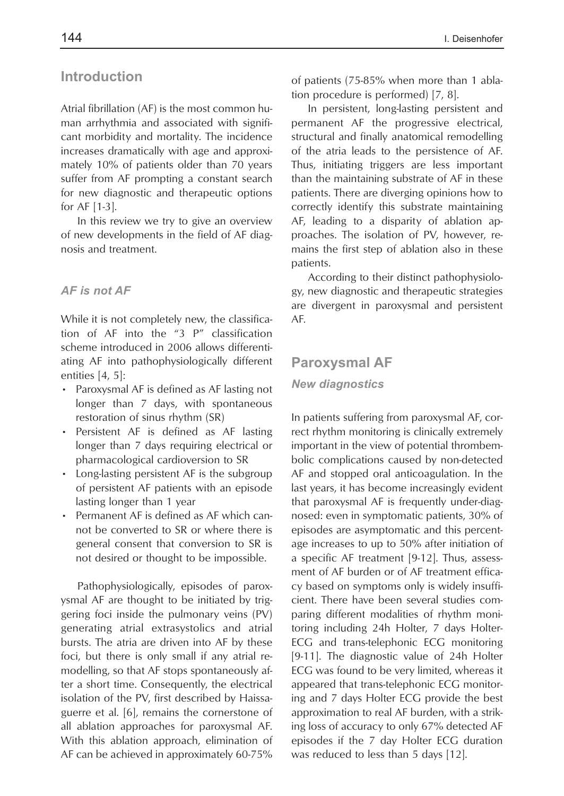# **Introduction**

Atrial fibrillation (AF) is the most common human arrhythmia and associated with significant morbidity and mortality. The incidence increases dramatically with age and approximately 10% of patients older than 70 years suffer from AF prompting a constant search for new diagnostic and therapeutic options for AF [1-3].

In this review we try to give an overview of new developments in the field of AF diagnosis and treatment.

### *AF is not AF*

While it is not completely new, the classification of AF into the "3 P" classification scheme introduced in 2006 allows differentiating AF into pathophysiologically different entities [4, 5]:

- Paroxysmal AF is defined as AF lasting not longer than 7 days, with spontaneous restoration of sinus rhythm (SR)
- Persistent AF is defined as AF lasting longer than 7 days requiring electrical or pharmacological cardioversion to SR
- Long-lasting persistent AF is the subgroup of persistent AF patients with an episode lasting longer than 1 year
- Permanent AF is defined as AF which cannot be converted to SR or where there is general consent that conversion to SR is not desired or thought to be impossible.

Pathophysiologically, episodes of paroxysmal AF are thought to be initiated by triggering foci inside the pulmonary veins (PV) generating atrial extrasystolics and atrial bursts. The atria are driven into AF by these foci, but there is only small if any atrial remodelling, so that AF stops spontaneously after a short time. Consequently, the electrical isolation of the PV, first described by Haissaguerre et al. [6], remains the cornerstone of all ablation approaches for paroxysmal AF. With this ablation approach, elimination of AF can be achieved in approximately 60-75%

of patients (75-85% when more than 1 ablation procedure is performed) [7, 8].

In persistent, long-lasting persistent and permanent AF the progressive electrical, structural and finally anatomical remodelling of the atria leads to the persistence of AF. Thus, initiating triggers are less important than the maintaining substrate of AF in these patients. There are diverging opinions how to correctly identify this substrate maintaining AF, leading to a disparity of ablation approaches. The isolation of PV, however, remains the first step of ablation also in these patients.

According to their distinct pathophysiology, new diagnostic and therapeutic strategies are divergent in paroxysmal and persistent AF.

### **Paroxysmal AF**

### *New diagnostics*

In patients suffering from paroxysmal AF, correct rhythm monitoring is clinically extremely important in the view of potential thrombembolic complications caused by non-detected AF and stopped oral anticoagulation. In the last years, it has become increasingly evident that paroxysmal AF is frequently under-diagnosed: even in symptomatic patients, 30% of episodes are asymptomatic and this percentage increases to up to 50% after initiation of a specific AF treatment [9-12]. Thus, assessment of AF burden or of AF treatment efficacy based on symptoms only is widely insufficient. There have been several studies comparing different modalities of rhythm monitoring including 24h Holter, 7 days Holter-ECG and trans-telephonic ECG monitoring [9-11]. The diagnostic value of 24h Holter ECG was found to be very limited, whereas it appeared that trans-telephonic ECG monitoring and 7 days Holter ECG provide the best approximation to real AF burden, with a striking loss of accuracy to only 67% detected AF episodes if the 7 day Holter ECG duration was reduced to less than 5 days [12].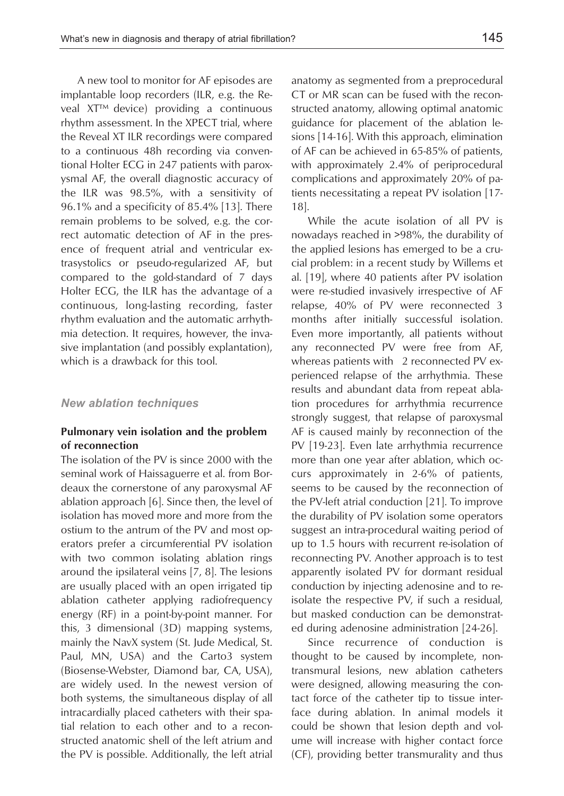A new tool to monitor for AF episodes are implantable loop recorders (ILR, e.g. the Reveal XT™ device) providing a continuous rhythm assessment. In the XPECT trial, where the Reveal XT ILR recordings were compared to a continuous 48h recording via conventional Holter ECG in 247 patients with paroxysmal AF, the overall diagnostic accuracy of the ILR was 98.5%, with a sensitivity of 96.1% and a specificity of 85.4% [13]. There remain problems to be solved, e.g. the correct automatic detection of AF in the presence of frequent atrial and ventricular extrasystolics or pseudo-regularized AF, but compared to the gold-standard of 7 days Holter ECG, the ILR has the advantage of a continuous, long-lasting recording, faster rhythm evaluation and the automatic arrhythmia detection. It requires, however, the invasive implantation (and possibly explantation), which is a drawback for this tool.

#### *New ablation techniques*

### **Pulmonary vein isolation and the problem of reconnection**

The isolation of the PV is since 2000 with the seminal work of Haissaguerre et al. from Bordeaux the cornerstone of any paroxysmal AF ablation approach [6]. Since then, the level of isolation has moved more and more from the ostium to the antrum of the PV and most operators prefer a circumferential PV isolation with two common isolating ablation rings around the ipsilateral veins [7, 8]. The lesions are usually placed with an open irrigated tip ablation catheter applying radiofrequency energy (RF) in a point-by-point manner. For this, 3 dimensional (3D) mapping systems, mainly the NavX system (St. Jude Medical, St. Paul, MN, USA) and the Carto3 system (Biosense-Webster, Diamond bar, CA, USA), are widely used. In the newest version of both systems, the simultaneous display of all intracardially placed catheters with their spatial relation to each other and to a reconstructed anatomic shell of the left atrium and the PV is possible. Additionally, the left atrial anatomy as segmented from a preprocedural CT or MR scan can be fused with the reconstructed anatomy, allowing optimal anatomic guidance for placement of the ablation lesions [14-16]. With this approach, elimination of AF can be achieved in 65-85% of patients, with approximately 2.4% of periprocedural complications and approximately 20% of patients necessitating a repeat PV isolation [17- 18].

While the acute isolation of all PV is nowadays reached in >98%, the durability of the applied lesions has emerged to be a crucial problem: in a recent study by Willems et al. [19], where 40 patients after PV isolation were re-studied invasively irrespective of AF relapse, 40% of PV were reconnected 3 months after initially successful isolation. Even more importantly, all patients without any reconnected PV were free from AF, whereas patients with 2 reconnected PV experienced relapse of the arrhythmia. These results and abundant data from repeat ablation procedures for arrhythmia recurrence strongly suggest, that relapse of paroxysmal AF is caused mainly by reconnection of the PV [19-23]. Even late arrhythmia recurrence more than one year after ablation, which occurs approximately in 2-6% of patients, seems to be caused by the reconnection of the PV-left atrial conduction [21]. To improve the durability of PV isolation some operators suggest an intra-procedural waiting period of up to 1.5 hours with recurrent re-isolation of reconnecting PV. Another approach is to test apparently isolated PV for dormant residual conduction by injecting adenosine and to reisolate the respective PV, if such a residual, but masked conduction can be demonstrated during adenosine administration [24-26].

Since recurrence of conduction is thought to be caused by incomplete, nontransmural lesions, new ablation catheters were designed, allowing measuring the contact force of the catheter tip to tissue interface during ablation. In animal models it could be shown that lesion depth and volume will increase with higher contact force (CF), providing better transmurality and thus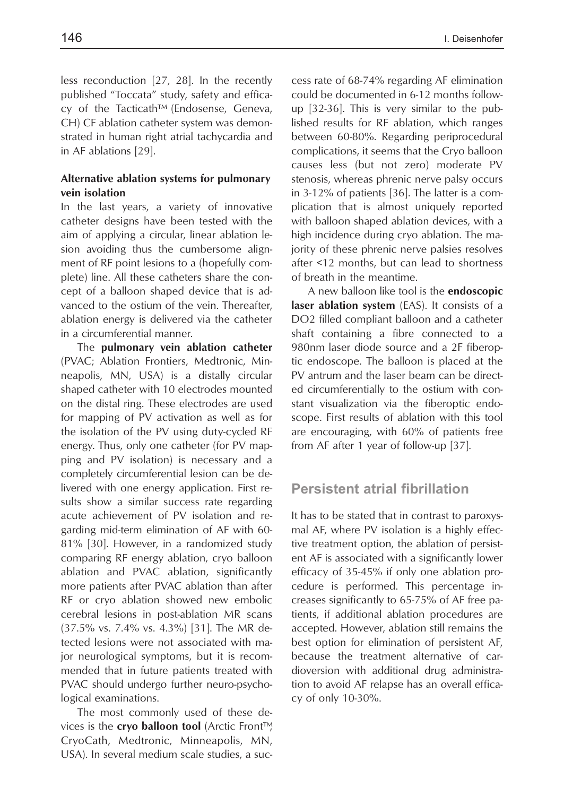less reconduction [27, 28]. In the recently published "Toccata" study, safety and efficacy of the Tacticath™ (Endosense, Geneva, CH) CF ablation catheter system was demonstrated in human right atrial tachycardia and in AF ablations [29].

### **Alternative ablation systems for pulmonary vein isolation**

In the last years, a variety of innovative catheter designs have been tested with the aim of applying a circular, linear ablation lesion avoiding thus the cumbersome alignment of RF point lesions to a (hopefully complete) line. All these catheters share the concept of a balloon shaped device that is advanced to the ostium of the vein. Thereafter, ablation energy is delivered via the catheter in a circumferential manner.

The **pulmonary vein ablation catheter** (PVAC; Ablation Frontiers, Medtronic, Minneapolis, MN, USA) is a distally circular shaped catheter with 10 electrodes mounted on the distal ring. These electrodes are used for mapping of PV activation as well as for the isolation of the PV using duty-cycled RF energy. Thus, only one catheter (for PV mapping and PV isolation) is necessary and a completely circumferential lesion can be delivered with one energy application. First results show a similar success rate regarding acute achievement of PV isolation and regarding mid-term elimination of AF with 60- 81% [30]. However, in a randomized study comparing RF energy ablation, cryo balloon ablation and PVAC ablation, significantly more patients after PVAC ablation than after RF or cryo ablation showed new embolic cerebral lesions in post-ablation MR scans (37.5% vs. 7.4% vs. 4.3%) [31]. The MR detected lesions were not associated with major neurological symptoms, but it is recommended that in future patients treated with PVAC should undergo further neuro-psychological examinations.

The most commonly used of these devices is the **cryo balloon tool** (Arctic Front™, CryoCath, Medtronic, Minneapolis, MN, USA). In several medium scale studies, a success rate of 68-74% regarding AF elimination could be documented in 6-12 months followup [32-36]. This is very similar to the published results for RF ablation, which ranges between 60-80%. Regarding periprocedural complications, it seems that the Cryo balloon causes less (but not zero) moderate PV stenosis, whereas phrenic nerve palsy occurs in 3-12% of patients [36]. The latter is a complication that is almost uniquely reported with balloon shaped ablation devices, with a high incidence during cryo ablation. The majority of these phrenic nerve palsies resolves after <12 months, but can lead to shortness of breath in the meantime.

A new balloon like tool is the **endoscopic laser ablation system** (EAS). It consists of a DO2 filled compliant balloon and a catheter shaft containing a fibre connected to a 980nm laser diode source and a 2F fiberoptic endoscope. The balloon is placed at the PV antrum and the laser beam can be directed circumferentially to the ostium with constant visualization via the fiberoptic endoscope. First results of ablation with this tool are encouraging, with 60% of patients free from AF after 1 year of follow-up [37].

# **Persistent atrial fibrillation**

It has to be stated that in contrast to paroxysmal AF, where PV isolation is a highly effective treatment option, the ablation of persistent AF is associated with a significantly lower efficacy of 35-45% if only one ablation procedure is performed. This percentage increases significantly to 65-75% of AF free patients, if additional ablation procedures are accepted. However, ablation still remains the best option for elimination of persistent AF, because the treatment alternative of cardioversion with additional drug administration to avoid AF relapse has an overall efficacy of only 10-30%.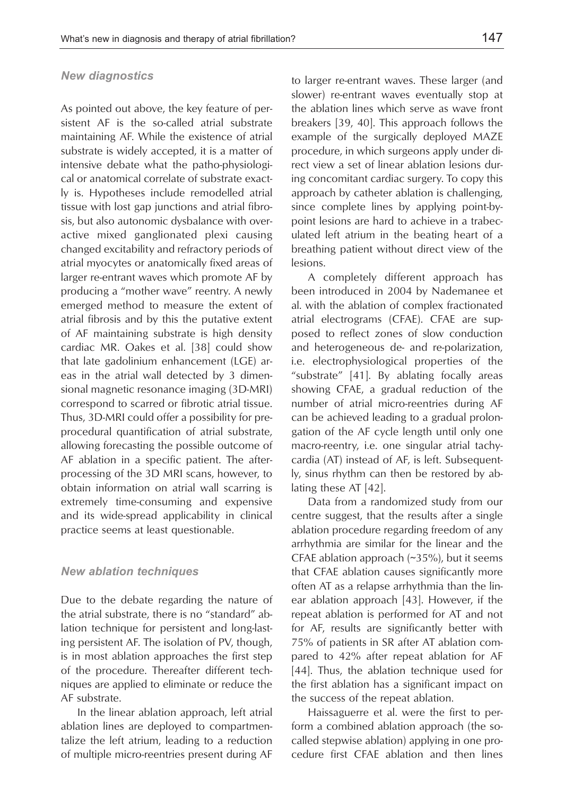### *New diagnostics*

As pointed out above, the key feature of persistent AF is the so-called atrial substrate maintaining AF. While the existence of atrial substrate is widely accepted, it is a matter of intensive debate what the patho-physiological or anatomical correlate of substrate exactly is. Hypotheses include remodelled atrial tissue with lost gap junctions and atrial fibrosis, but also autonomic dysbalance with overactive mixed ganglionated plexi causing changed excitability and refractory periods of atrial myocytes or anatomically fixed areas of larger re-entrant waves which promote AF by producing a "mother wave" reentry. A newly emerged method to measure the extent of atrial fibrosis and by this the putative extent of AF maintaining substrate is high density cardiac MR. Oakes et al. [38] could show that late gadolinium enhancement (LGE) areas in the atrial wall detected by 3 dimensional magnetic resonance imaging (3D-MRI) correspond to scarred or fibrotic atrial tissue. Thus, 3D-MRI could offer a possibility for preprocedural quantification of atrial substrate, allowing forecasting the possible outcome of AF ablation in a specific patient. The afterprocessing of the 3D MRI scans, however, to obtain information on atrial wall scarring is extremely time-consuming and expensive and its wide-spread applicability in clinical practice seems at least questionable.

#### *New ablation techniques*

Due to the debate regarding the nature of the atrial substrate, there is no "standard" ablation technique for persistent and long-lasting persistent AF. The isolation of PV, though, is in most ablation approaches the first step of the procedure. Thereafter different techniques are applied to eliminate or reduce the AF substrate.

In the linear ablation approach, left atrial ablation lines are deployed to compartmentalize the left atrium, leading to a reduction of multiple micro-reentries present during AF to larger re-entrant waves. These larger (and slower) re-entrant waves eventually stop at the ablation lines which serve as wave front breakers [39, 40]. This approach follows the example of the surgically deployed MAZE procedure, in which surgeons apply under direct view a set of linear ablation lesions during concomitant cardiac surgery. To copy this approach by catheter ablation is challenging, since complete lines by applying point-bypoint lesions are hard to achieve in a trabeculated left atrium in the beating heart of a breathing patient without direct view of the lesions.

A completely different approach has been introduced in 2004 by Nademanee et al. with the ablation of complex fractionated atrial electrograms (CFAE). CFAE are supposed to reflect zones of slow conduction and heterogeneous de- and re-polarization, i.e. electrophysiological properties of the "substrate" [41]. By ablating focally areas showing CFAE, a gradual reduction of the number of atrial micro-reentries during AF can be achieved leading to a gradual prolongation of the AF cycle length until only one macro-reentry, i.e. one singular atrial tachycardia (AT) instead of AF, is left. Subsequently, sinus rhythm can then be restored by ablating these AT [42].

Data from a randomized study from our centre suggest, that the results after a single ablation procedure regarding freedom of any arrhythmia are similar for the linear and the CFAE ablation approach (~35%), but it seems that CFAE ablation causes significantly more often AT as a relapse arrhythmia than the linear ablation approach [43]. However, if the repeat ablation is performed for AT and not for AF, results are significantly better with 75% of patients in SR after AT ablation compared to 42% after repeat ablation for AF [44]. Thus, the ablation technique used for the first ablation has a significant impact on the success of the repeat ablation.

Haissaguerre et al. were the first to perform a combined ablation approach (the socalled stepwise ablation) applying in one procedure first CFAE ablation and then lines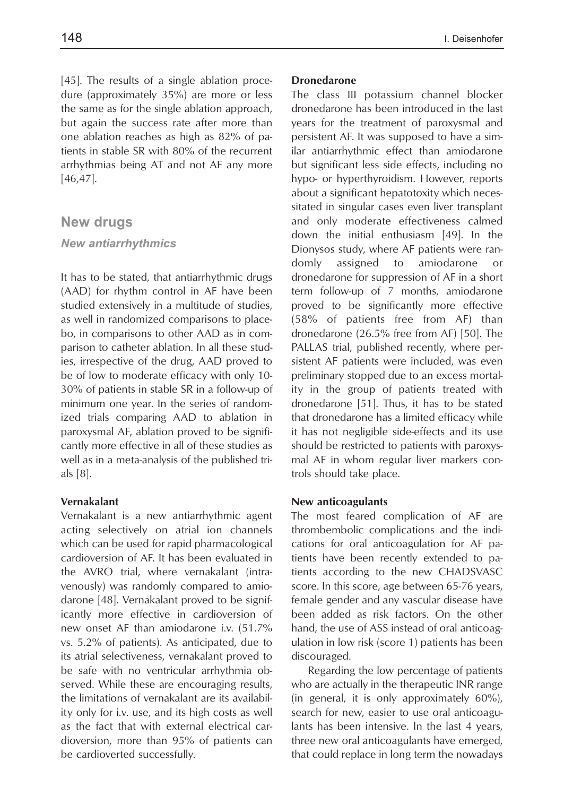[45]. The results of a single ablation procedure (approximately 35%) are more or less the same as for the single ablation approach, but again the success rate after more than one ablation reaches as high as 82% of patients in stable SR with 80% of the recurrent arrhythmias being AT and not AF any more [46,47].

### **New drugs**

### *New antiarrhythmics*

It has to be stated, that antiarrhythmic drugs (AAD) for rhythm control in AF have been studied extensively in a multitude of studies, as well in randomized comparisons to placebo, in comparisons to other AAD as in comparison to catheter ablation. In all these studies, irrespective of the drug, AAD proved to be of low to moderate efficacy with only 10- 30% of patients in stable SR in a follow-up of minimum one year. In the series of randomized trials comparing AAD to ablation in paroxysmal AF, ablation proved to be significantly more effective in all of these studies as well as in a meta-analysis of the published trials [8].

### **Vernakalant**

Vernakalant is a new antiarrhythmic agent acting selectively on atrial ion channels which can be used for rapid pharmacological cardioversion of AF. It has been evaluated in the AVRO trial, where vernakalant (intravenously) was randomly compared to amiodarone [48]. Vernakalant proved to be significantly more effective in cardioversion of new onset AF than amiodarone i.v. (51.7% vs. 5.2% of patients). As anticipated, due to its atrial selectiveness, vernakalant proved to be safe with no ventricular arrhythmia observed. While these are encouraging results, the limitations of vernakalant are its availability only for i.v. use, and its high costs as well as the fact that with external electrical cardioversion, more than 95% of patients can be cardioverted successfully.

### **Dronedarone**

The class III potassium channel blocker dronedarone has been introduced in the last years for the treatment of paroxysmal and persistent AF. It was supposed to have a similar antiarrhythmic effect than amiodarone but significant less side effects, including no hypo- or hyperthyroidism. However, reports about a significant hepatotoxity which necessitated in singular cases even liver transplant and only moderate effectiveness calmed down the initial enthusiasm [49]. In the Dionysos study, where AF patients were randomly assigned to amiodarone or dronedarone for suppression of AF in a short term follow-up of 7 months, amiodarone proved to be significantly more effective (58% of patients free from AF) than dronedarone (26.5% free from AF) [50]. The PALLAS trial, published recently, where persistent AF patients were included, was even preliminary stopped due to an excess mortality in the group of patients treated with dronedarone [51]. Thus, it has to be stated that dronedarone has a limited efficacy while it has not negligible side-effects and its use should be restricted to patients with paroxysmal AF in whom regular liver markers controls should take place.

#### **New anticoagulants**

The most feared complication of AF are thrombembolic complications and the indications for oral anticoagulation for AF patients have been recently extended to patients according to the new CHADSVASC score. In this score, age between 65-76 years, female gender and any vascular disease have been added as risk factors. On the other hand, the use of ASS instead of oral anticoagulation in low risk (score 1) patients has been discouraged.

Regarding the low percentage of patients who are actually in the therapeutic INR range (in general, it is only approximately 60%), search for new, easier to use oral anticoagulants has been intensive. In the last 4 years, three new oral anticoagulants have emerged, that could replace in long term the nowadays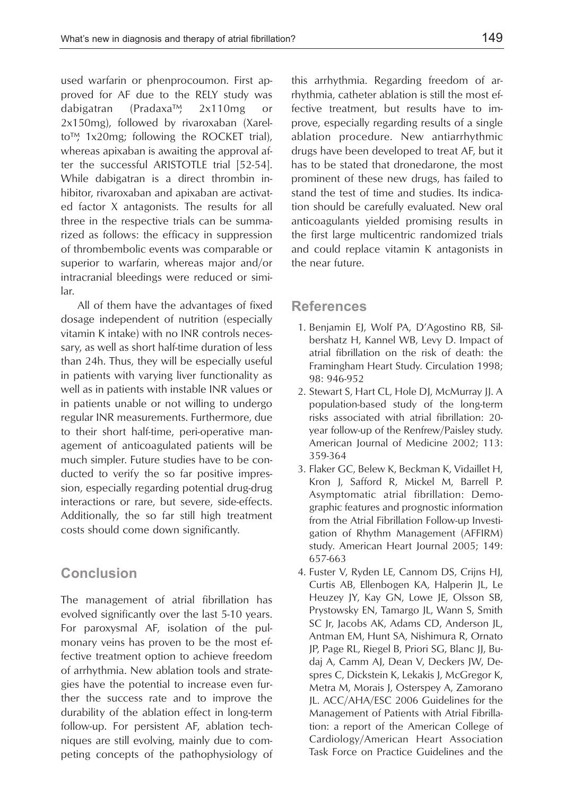used warfarin or phenprocoumon. First approved for AF due to the RELY study was dabigatran (Pradaxa™, 2x110mg or 2x150mg), followed by rivaroxaban (Xarelto™, 1x20mg; following the ROCKET trial), whereas apixaban is awaiting the approval after the successful ARISTOTLE trial [52-54]. While dabigatran is a direct thrombin inhibitor, rivaroxaban and apixaban are activated factor X antagonists. The results for all three in the respective trials can be summarized as follows: the efficacy in suppression of thrombembolic events was comparable or superior to warfarin, whereas major and/or intracranial bleedings were reduced or similar.

All of them have the advantages of fixed dosage independent of nutrition (especially vitamin K intake) with no INR controls necessary, as well as short half-time duration of less than 24h. Thus, they will be especially useful in patients with varying liver functionality as well as in patients with instable INR values or in patients unable or not willing to undergo regular INR measurements. Furthermore, due to their short half-time, peri-operative management of anticoagulated patients will be much simpler. Future studies have to be conducted to verify the so far positive impression, especially regarding potential drug-drug interactions or rare, but severe, side-effects. Additionally, the so far still high treatment costs should come down significantly.

# **Conclusion**

The management of atrial fibrillation has evolved significantly over the last 5-10 years. For paroxysmal AF, isolation of the pulmonary veins has proven to be the most effective treatment option to achieve freedom of arrhythmia. New ablation tools and strategies have the potential to increase even further the success rate and to improve the durability of the ablation effect in long-term follow-up. For persistent AF, ablation techniques are still evolving, mainly due to competing concepts of the pathophysiology of

this arrhythmia. Regarding freedom of arrhythmia, catheter ablation is still the most effective treatment, but results have to improve, especially regarding results of a single ablation procedure. New antiarrhythmic drugs have been developed to treat AF, but it has to be stated that dronedarone, the most prominent of these new drugs, has failed to stand the test of time and studies. Its indication should be carefully evaluated. New oral anticoagulants yielded promising results in the first large multicentric randomized trials and could replace vitamin K antagonists in the near future.

### **References**

- 1. Benjamin EJ, Wolf PA, D'Agostino RB, Silbershatz H, Kannel WB, Levy D. Impact of atrial fibrillation on the risk of death: the Framingham Heart Study. Circulation 1998; 98: 946-952
- 2. Stewart S, Hart CL, Hole DJ, McMurray JJ. A population-based study of the long-term risks associated with atrial fibrillation: 20 year follow-up of the Renfrew/Paisley study. American Journal of Medicine 2002; 113: 359-364
- 3. Flaker GC, Belew K, Beckman K, Vidaillet H, Kron J, Safford R, Mickel M, Barrell P. Asymptomatic atrial fibrillation: Demographic features and prognostic information from the Atrial Fibrillation Follow-up Investigation of Rhythm Management (AFFIRM) study. American Heart Journal 2005; 149: 657-663
- 4. Fuster V, Ryden LE, Cannom DS, Crijns HJ, Curtis AB, Ellenbogen KA, Halperin JL, Le Heuzey JY, Kay GN, Lowe JE, Olsson SB, Prystowsky EN, Tamargo JL, Wann S, Smith SC Jr, Jacobs AK, Adams CD, Anderson JL, Antman EM, Hunt SA, Nishimura R, Ornato JP, Page RL, Riegel B, Priori SG, Blanc JJ, Budaj A, Camm AJ, Dean V, Deckers JW, Despres C, Dickstein K, Lekakis J, McGregor K, Metra M, Morais J, Osterspey A, Zamorano JL. ACC/AHA/ESC 2006 Guidelines for the Management of Patients with Atrial Fibrillation: a report of the American College of Cardiology/American Heart Association Task Force on Practice Guidelines and the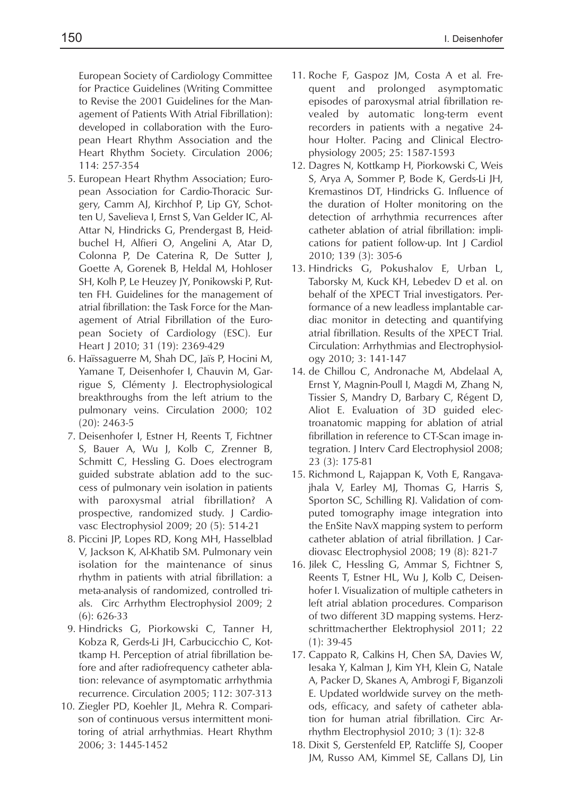European Society of Cardiology Committee for Practice Guidelines (Writing Committee to Revise the 2001 Guidelines for the Management of Patients With Atrial Fibrillation): developed in collaboration with the European Heart Rhythm Association and the Heart Rhythm Society. Circulation 2006; 114: 257-354

- 5. European Heart Rhythm Association; European Association for Cardio-Thoracic Surgery, Camm AJ, Kirchhof P, Lip GY, Schotten U, Savelieva I, Ernst S, Van Gelder IC, Al-Attar N, Hindricks G, Prendergast B, Heidbuchel H, Alfieri O, Angelini A, Atar D, Colonna P, De Caterina R, De Sutter J, Goette A, Gorenek B, Heldal M, Hohloser SH, Kolh P, Le Heuzey JY, Ponikowski P, Rutten FH. Guidelines for the management of atrial fibrillation: the Task Force for the Management of Atrial Fibrillation of the European Society of Cardiology (ESC). Eur Heart J 2010; 31 (19): 2369-429
- 6. Haïssaguerre M, Shah DC, Jaïs P, Hocini M, Yamane T, Deisenhofer I, Chauvin M, Garrigue S, Clémenty J. Electrophysiological breakthroughs from the left atrium to the pulmonary veins. Circulation 2000; 102 (20): 2463-5
- 7. Deisenhofer I, Estner H, Reents T, Fichtner S, Bauer A, Wu J, Kolb C, Zrenner B, Schmitt C, Hessling G. Does electrogram guided substrate ablation add to the success of pulmonary vein isolation in patients with paroxysmal atrial fibrillation? A prospective, randomized study. J Cardiovasc Electrophysiol 2009; 20 (5): 514-21
- 8. Piccini JP, Lopes RD, Kong MH, Hasselblad V, Jackson K, Al-Khatib SM. Pulmonary vein isolation for the maintenance of sinus rhythm in patients with atrial fibrillation: a meta-analysis of randomized, controlled trials. Circ Arrhythm Electrophysiol 2009; 2 (6): 626-33
- 9. Hindricks G, Piorkowski C, Tanner H, Kobza R, Gerds-Li JH, Carbucicchio C, Kottkamp H. Perception of atrial fibrillation before and after radiofrequency catheter ablation: relevance of asymptomatic arrhythmia recurrence. Circulation 2005; 112: 307-313
- 10. Ziegler PD, Koehler JL, Mehra R. Comparison of continuous versus intermittent monitoring of atrial arrhythmias. Heart Rhythm 2006; 3: 1445-1452
- 11. Roche F, Gaspoz JM, Costa A et al. Frequent and prolonged asymptomatic episodes of paroxysmal atrial fibrillation revealed by automatic long-term event recorders in patients with a negative 24 hour Holter. Pacing and Clinical Electrophysiology 2005; 25: 1587-1593
- 12. Dagres N, Kottkamp H, Piorkowski C, Weis S, Arya A, Sommer P, Bode K, Gerds-Li JH, Kremastinos DT, Hindricks G. Influence of the duration of Holter monitoring on the detection of arrhythmia recurrences after catheter ablation of atrial fibrillation: implications for patient follow-up. Int J Cardiol 2010; 139 (3): 305-6
- 13. Hindricks G, Pokushalov E, Urban L, Taborsky M, Kuck KH, Lebedev D et al. on behalf of the XPECT Trial investigators. Performance of a new leadless implantable cardiac monitor in detecting and quantifying atrial fibrillation. Results of the XPECT Trial. Circulation: Arrhythmias and Electrophysiology 2010; 3: 141-147
- 14. de Chillou C, Andronache M, Abdelaal A, Ernst Y, Magnin-Poull I, Magdi M, Zhang N, Tissier S, Mandry D, Barbary C, Régent D, Aliot E. Evaluation of 3D guided electroanatomic mapping for ablation of atrial fibrillation in reference to CT-Scan image integration. J Interv Card Electrophysiol 2008; 23 (3): 175-81
- 15. Richmond L, Rajappan K, Voth E, Rangavajhala V, Earley MJ, Thomas G, Harris S, Sporton SC, Schilling RJ. Validation of computed tomography image integration into the EnSite NavX mapping system to perform catheter ablation of atrial fibrillation. J Cardiovasc Electrophysiol 2008; 19 (8): 821-7
- 16. Jilek C, Hessling G, Ammar S, Fichtner S, Reents T, Estner HL, Wu J, Kolb C, Deisenhofer I. Visualization of multiple catheters in left atrial ablation procedures. Comparison of two different 3D mapping systems. Herzschrittmacherther Elektrophysiol 2011; 22 (1): 39-45
- 17. Cappato R, Calkins H, Chen SA, Davies W, Iesaka Y, Kalman J, Kim YH, Klein G, Natale A, Packer D, Skanes A, Ambrogi F, Biganzoli E. Updated worldwide survey on the methods, efficacy, and safety of catheter ablation for human atrial fibrillation. Circ Arrhythm Electrophysiol 2010; 3 (1): 32-8
- 18. Dixit S, Gerstenfeld EP, Ratcliffe SJ, Cooper JM, Russo AM, Kimmel SE, Callans DJ, Lin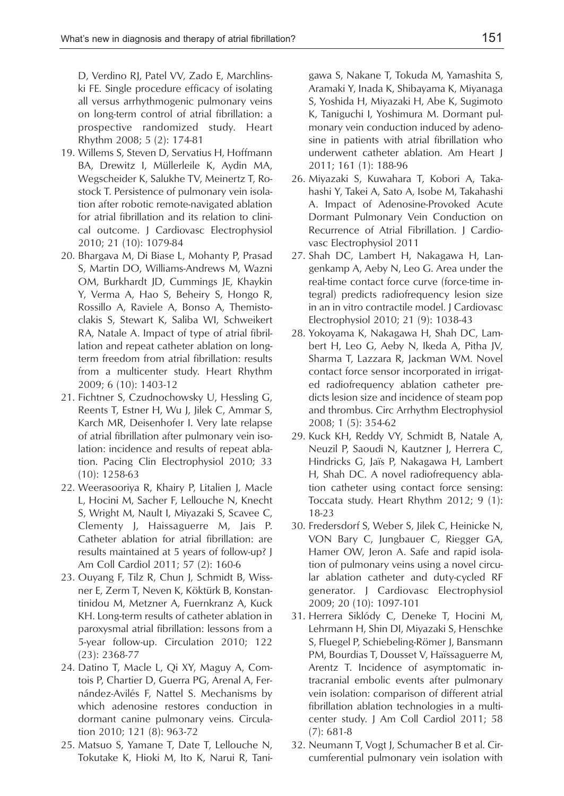D, Verdino RJ, Patel VV, Zado E, Marchlinski FE. Single procedure efficacy of isolating all versus arrhythmogenic pulmonary veins on long-term control of atrial fibrillation: a prospective randomized study. Heart Rhythm 2008; 5 (2): 174-81

- 19. Willems S, Steven D, Servatius H, Hoffmann BA, Drewitz I, Müllerleile K, Aydin MA, Wegscheider K, Salukhe TV, Meinertz T, Rostock T. Persistence of pulmonary vein isolation after robotic remote-navigated ablation for atrial fibrillation and its relation to clinical outcome. J Cardiovasc Electrophysiol 2010; 21 (10): 1079-84
- 20. Bhargava M, Di Biase L, Mohanty P, Prasad S, Martin DO, Williams-Andrews M, Wazni OM, Burkhardt JD, Cummings JE, Khaykin Y, Verma A, Hao S, Beheiry S, Hongo R, Rossillo A, Raviele A, Bonso A, Themistoclakis S, Stewart K, Saliba WI, Schweikert RA, Natale A. Impact of type of atrial fibrillation and repeat catheter ablation on longterm freedom from atrial fibrillation: results from a multicenter study. Heart Rhythm 2009; 6 (10): 1403-12
- 21. Fichtner S, Czudnochowsky U, Hessling G, Reents T, Estner H, Wu J, Jilek C, Ammar S, Karch MR, Deisenhofer I. Very late relapse of atrial fibrillation after pulmonary vein isolation: incidence and results of repeat ablation. Pacing Clin Electrophysiol 2010; 33 (10): 1258-63
- 22. Weerasooriya R, Khairy P, Litalien J, Macle L, Hocini M, Sacher F, Lellouche N, Knecht S, Wright M, Nault I, Miyazaki S, Scavee C, Clementy J, Haissaguerre M, Jais P. Catheter ablation for atrial fibrillation: are results maintained at 5 years of follow-up? J Am Coll Cardiol 2011; 57 (2): 160-6
- 23. Ouyang F, Tilz R, Chun J, Schmidt B, Wissner E, Zerm T, Neven K, Köktürk B, Konstantinidou M, Metzner A, Fuernkranz A, Kuck KH. Long-term results of catheter ablation in paroxysmal atrial fibrillation: lessons from a 5-year follow-up. Circulation 2010; 122 (23): 2368-77
- 24. Datino T, Macle L, Qi XY, Maguy A, Comtois P, Chartier D, Guerra PG, Arenal A, Fernández-Avilés F, Nattel S. Mechanisms by which adenosine restores conduction in dormant canine pulmonary veins. Circulation 2010; 121 (8): 963-72
- 25. Matsuo S, Yamane T, Date T, Lellouche N, Tokutake K, Hioki M, Ito K, Narui R, Tani-

gawa S, Nakane T, Tokuda M, Yamashita S, Aramaki Y, Inada K, Shibayama K, Miyanaga S, Yoshida H, Miyazaki H, Abe K, Sugimoto K, Taniguchi I, Yoshimura M. Dormant pulmonary vein conduction induced by adenosine in patients with atrial fibrillation who underwent catheter ablation. Am Heart J 2011; 161 (1): 188-96

- 26. Miyazaki S, Kuwahara T, Kobori A, Takahashi Y, Takei A, Sato A, Isobe M, Takahashi A. Impact of Adenosine-Provoked Acute Dormant Pulmonary Vein Conduction on Recurrence of Atrial Fibrillation. J Cardiovasc Electrophysiol 2011
- 27. Shah DC, Lambert H, Nakagawa H, Langenkamp A, Aeby N, Leo G. Area under the real-time contact force curve (force-time integral) predicts radiofrequency lesion size in an in vitro contractile model. J Cardiovasc Electrophysiol 2010; 21 (9): 1038-43
- 28. Yokoyama K, Nakagawa H, Shah DC, Lambert H, Leo G, Aeby N, Ikeda A, Pitha JV, Sharma T, Lazzara R, Jackman WM. Novel contact force sensor incorporated in irrigated radiofrequency ablation catheter predicts lesion size and incidence of steam pop and thrombus. Circ Arrhythm Electrophysiol 2008; 1 (5): 354-62
- 29. Kuck KH, Reddy VY, Schmidt B, Natale A, Neuzil P, Saoudi N, Kautzner J, Herrera C, Hindricks G, Jaïs P, Nakagawa H, Lambert H, Shah DC. A novel radiofrequency ablation catheter using contact force sensing: Toccata study. Heart Rhythm 2012; 9 (1): 18-23
- 30. Fredersdorf S, Weber S, Jilek C, Heinicke N, VON Bary C, Jungbauer C, Riegger GA, Hamer OW, Jeron A. Safe and rapid isolation of pulmonary veins using a novel circular ablation catheter and duty-cycled RF generator. J Cardiovasc Electrophysiol 2009; 20 (10): 1097-101
- 31. Herrera Siklódy C, Deneke T, Hocini M, Lehrmann H, Shin DI, Miyazaki S, Henschke S, Fluegel P, Schiebeling-Römer J, Bansmann PM, Bourdias T, Dousset V, Haïssaguerre M, Arentz T. Incidence of asymptomatic intracranial embolic events after pulmonary vein isolation: comparison of different atrial fibrillation ablation technologies in a multicenter study. J Am Coll Cardiol 2011; 58 (7): 681-8
- 32. Neumann T, Vogt J, Schumacher B et al. Circumferential pulmonary vein isolation with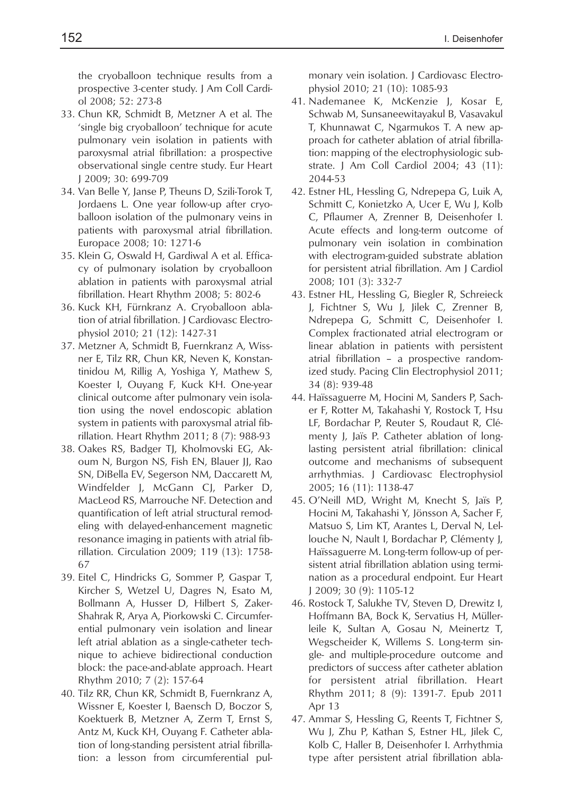the cryoballoon technique results from a prospective 3-center study. J Am Coll Cardiol 2008; 52: 273-8

- 33. Chun KR, Schmidt B, Metzner A et al. The 'single big cryoballoon' technique for acute pulmonary vein isolation in patients with paroxysmal atrial fibrillation: a prospective observational single centre study. Eur Heart J 2009; 30: 699-709
- 34. Van Belle Y, Janse P, Theuns D, Szili-Torok T, Jordaens L. One year follow-up after cryoballoon isolation of the pulmonary veins in patients with paroxysmal atrial fibrillation. Europace 2008; 10: 1271-6
- 35. Klein G, Oswald H, Gardiwal A et al. Efficacy of pulmonary isolation by cryoballoon ablation in patients with paroxysmal atrial fibrillation. Heart Rhythm 2008; 5: 802-6
- 36. Kuck KH, Fürnkranz A. Cryoballoon ablation of atrial fibrillation. J Cardiovasc Electrophysiol 2010; 21 (12): 1427-31
- 37. Metzner A, Schmidt B, Fuernkranz A, Wissner E, Tilz RR, Chun KR, Neven K, Konstantinidou M, Rillig A, Yoshiga Y, Mathew S, Koester I, Ouyang F, Kuck KH. One-year clinical outcome after pulmonary vein isolation using the novel endoscopic ablation system in patients with paroxysmal atrial fibrillation. Heart Rhythm 2011; 8 (7): 988-93
- 38. Oakes RS, Badger TJ, Kholmovski EG, Akoum N, Burgon NS, Fish EN, Blauer JJ, Rao SN, DiBella EV, Segerson NM, Daccarett M, Windfelder J, McGann CJ, Parker D, MacLeod RS, Marrouche NF. Detection and quantification of left atrial structural remodeling with delayed-enhancement magnetic resonance imaging in patients with atrial fibrillation. Circulation 2009; 119 (13): 1758- 67
- 39. Eitel C, Hindricks G, Sommer P, Gaspar T, Kircher S, Wetzel U, Dagres N, Esato M, Bollmann A, Husser D, Hilbert S, Zaker-Shahrak R, Arya A, Piorkowski C. Circumferential pulmonary vein isolation and linear left atrial ablation as a single-catheter technique to achieve bidirectional conduction block: the pace-and-ablate approach. Heart Rhythm 2010; 7 (2): 157-64
- 40. Tilz RR, Chun KR, Schmidt B, Fuernkranz A, Wissner E, Koester I, Baensch D, Boczor S, Koektuerk B, Metzner A, Zerm T, Ernst S, Antz M, Kuck KH, Ouyang F. Catheter ablation of long-standing persistent atrial fibrillation: a lesson from circumferential pul-

monary vein isolation. J Cardiovasc Electrophysiol 2010; 21 (10): 1085-93

- 41. Nademanee K, McKenzie J, Kosar E, Schwab M, Sunsaneewitayakul B, Vasavakul T, Khunnawat C, Ngarmukos T. A new approach for catheter ablation of atrial fibrillation: mapping of the electrophysiologic substrate. J Am Coll Cardiol 2004; 43 (11): 2044-53
- 42. Estner HL, Hessling G, Ndrepepa G, Luik A, Schmitt C, Konietzko A, Ucer E, Wu J, Kolb C, Pflaumer A, Zrenner B, Deisenhofer I. Acute effects and long-term outcome of pulmonary vein isolation in combination with electrogram-guided substrate ablation for persistent atrial fibrillation. Am J Cardiol 2008; 101 (3): 332-7
- 43. Estner HL, Hessling G, Biegler R, Schreieck J, Fichtner S, Wu J, Jilek C, Zrenner B, Ndrepepa G, Schmitt C, Deisenhofer I. Complex fractionated atrial electrogram or linear ablation in patients with persistent atrial fibrillation – a prospective randomized study. Pacing Clin Electrophysiol 2011; 34 (8): 939-48
- 44. Haïssaguerre M, Hocini M, Sanders P, Sacher F, Rotter M, Takahashi Y, Rostock T, Hsu LF, Bordachar P, Reuter S, Roudaut R, Clémenty J, Jaïs P. Catheter ablation of longlasting persistent atrial fibrillation: clinical outcome and mechanisms of subsequent arrhythmias. J Cardiovasc Electrophysiol 2005; 16 (11): 1138-47
- 45. O'Neill MD, Wright M, Knecht S, Jaïs P, Hocini M, Takahashi Y, Jönsson A, Sacher F, Matsuo S, Lim KT, Arantes L, Derval N, Lellouche N, Nault I, Bordachar P, Clémenty J, Haïssaguerre M. Long-term follow-up of persistent atrial fibrillation ablation using termination as a procedural endpoint. Eur Heart J 2009; 30 (9): 1105-12
- 46. Rostock T, Salukhe TV, Steven D, Drewitz I, Hoffmann BA, Bock K, Servatius H, Müllerleile K, Sultan A, Gosau N, Meinertz T, Wegscheider K, Willems S. Long-term single- and multiple-procedure outcome and predictors of success after catheter ablation for persistent atrial fibrillation. Heart Rhythm 2011; 8 (9): 1391-7. Epub 2011 Apr 13
- 47. Ammar S, Hessling G, Reents T, Fichtner S, Wu J, Zhu P, Kathan S, Estner HL, Jilek C, Kolb C, Haller B, Deisenhofer I. Arrhythmia type after persistent atrial fibrillation abla-